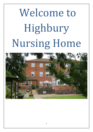# Welcome to Highbury Nursing Home

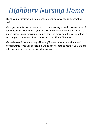# *Highbury Nursing Home*

Thank you for visiting our home or requesting a copy of our information pack.

We hope the information enclosed is of interest to you and answers most of your questions. However, if you require any further information or would like to discuss your individual requirements in more detail, please contact us to arrange a convenient time to meet with our Home Manager.

We understand that choosing a Nursing Home can be an emotional and stressful time for many people, please do not hesitate to contact us if we can help in any way as we are always happy to assist.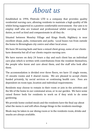### *About us*

Established in 1994, Flintvale LTD is a company that provides quality residential nursing care, allowing residents to maintain a high quality of life whilst being supported in a positive comfortable environment. Our aim is to employ staff who are trained and professional whilst carrying out their duties, as well as kind and compassionate in all they do.

Situated between Moseley Village and Kings Heath, Highbury is near excellent shops, pubs, restaurants and parks. Local buses run from outside the home to Birmingham city centre and other local areas.

We have 38 nursing beds and have a mixed client group, some of our clients have dementia but all of our clients require nursing care.

We have nurses on duty 24 hours a day and each client has an individual care plan which is written with contributions from the resident themselves, the people who know and care about them, and the staff who look after them.

The accommodation is divided over three floors, we have 15 single rooms, 15 ensuite rooms and 4 shared rooms. We are pleased to accept clients funded privately, by social services or continuing health care. Fees are dependent on room type, location and individual requirements.

Residents may choose to remain in their room or join in the activities and the life of the home in our communal areas, or in our garden. We have some raised flower beds for residents to work on if they wish to do some gardening.

We provide home cooked meals and the residents have the final say about what the menu is and will often change things in the residents meetings.

Meals may be taken in our dining room or in the residents room, drinks and snacks are always available.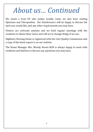### *About us… Continued*

We retain a local GP who makes weekly visits; we also have visiting Opticians and Chiropodists. Our Hairdressers will be happy to discuss the style you would like, and any other requirements you may have.

Visitors are welcome anytime and we hold regular meetings with the residents to obtain their views and will act to change things if we can.

Highbury Nursing Home is registered with the Care Quality Commission and a copy of the latest report is on our website.

The Home Manager Mrs. Wendy Noons RGN is always happy to meet with residents and families to discuss any questions you may have.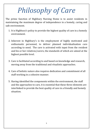# *Philosophy of Care*

The prime function of Highbury Nursing Home is to assist residents in maintaining the maximum degree of independence in a homely, caring and safe environment.

- 1. It is Highbury's policy to provide the highest quality of care in a homely environment.
- 2. Inherent in Highbury's is the employment of highly motivated and enthusiastic personnel, to deliver planned individualisation care according to need. The care is activated with input from the resident and his or her relatives/carers, the standards of which are aimed at the highest possible level.
- 3. Care is facilitated according to and based on knowledge and research, moving away from the traditional and ritualistic approaches.
- 4. Care of holistic nature also requires dedication and commitment of all staff working in a cohesive manner.
- 5. Having identified the components within the environment, the staff and the approaches to care, it is essential that these three elements are interlinked to provide the best quality of care in a friendly and homely situation.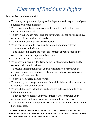### *Charter of Resident's Rights*

As a resident you have the right:

- $\triangleright$  To retain your personal dignity and independence irrespective of your physical or mental infirmity.
- ➢ To receive skilled and sensitive care to enable you to achieve an enhanced quality of life.
- $\triangleright$  To have your wishes respected concerning emotional, social, religious, cultural, political and sexual needs.
- $\triangleright$  To have your personal privacy respected.
- ➢ To be consulted and to receive information about daily living arrangements in the home.
- ➢ To be involved in all stages of the assessment of your needs and to contribute to your own personal care plan.
- $\triangleright$  To receive visitors at any time.
- ➢ To select your own GP, Dentist or other professional advisor and to consult with them in private.
- $\triangleright$  To receive information about your medication, to be involved in decisions about your medical treatment and to have access to your medical and care records.
- ➢ To have a nominated named nurse.
- ➢ To manage your own personal and financial affairs, or choose someone to manage them on your behalf.
- ➢ To have full access to facilities and services in the community as an independent citizen.
- $\triangleright$  To not be moved against your will, unless it is essential for your personal safety and to set your own acceptable level of risk.
- $\triangleright$  To be aware of what complaints procedures are available to you and to be represented.

#### **THE ONLY RESTRICTIONS ARE THE LEGAL ONES DEEMED NECESSARY IN PROVIDING THE LEVEL OF CARE REQUIRED, AND IN ORDER TO PROTECT THE HEALTH AND SAFETY OF RESIDENTS AND STAFF.**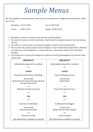### *Sample Menus*

We will complete a menu preference sheet with you on admission at Highbury Nursing Home. Meals are served:

Breakfast: 07:45-10.00 Tea: 17:00-19:00 Lunch: 13:00-14:00 Supper: 20.00-22:00

- ➢ Breakfast is a choice of cereals, toast and full cooked breakfast.
- ➢ Our main hot meal is served at lunchtime. Staff are able to prepare snacks at any time during the day.
- $\triangleright$  We work to a 6 week menu rota, typical examples of which can be viewed below.
- $\triangleright$  We can meet any special requests and are happy to cater to individual requirements. Relatives are welcome to join residents for a meal at any time – please give notice to the chef where possible.
- ➢ Our kitchen has a current Food Hygiene Certificate issued by Birmingham City Council, being rated at 4H.

| <b>BREAKFAST</b>                                                                      | <b>BREAKFAST</b>                          |
|---------------------------------------------------------------------------------------|-------------------------------------------|
| Individually prepared for residents                                                   | Individually prepared for residents       |
| ***                                                                                   | ***                                       |
| <b>LUNCH</b>                                                                          | <b>LUNCH</b>                              |
| Roast Beef and Yorkshire Puddings                                                     | Pasta in Bolognese Sauce                  |
| Served with<br>Boiled Potatoes, Roast Parsnips, Brussel<br><b>Sprouts and Carrots</b> | Served with<br><b>Mixed Salad</b>         |
| ***                                                                                   | ***                                       |
| Rhubarb Crumble & Custard                                                             | Fresh Fruit Salad & Cream                 |
| ***                                                                                   | ***                                       |
| <b>TEA</b>                                                                            | <b>TEA</b>                                |
| ***                                                                                   | ***                                       |
| Selection of Cold Meats                                                               | <b>Traditional Pork Faggots</b>           |
| Served with<br>Mixed Salad & Pickles                                                  | Served with<br>Mushy Peas & Potato Wedges |
| ***                                                                                   | ***                                       |
| Peaches & Cream                                                                       | Crème Caramel                             |
| (Hot alternatives available on request)                                               | (Hot alternatives available on request)   |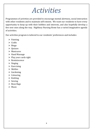### *Activities*

Programmes of activities are provided to encourage mental alertness, social interaction with other residents and to maintain self-esteem. We want our residents to have every opportunity to keep up with their hobbies and interests, and also hopefully develop a few new ones along the way. Highbury Nursing Home has a varied imaginative agenda of activities.

Our activities program is tailored to our residents' preferences and includes:

- ➢ Painting
- ➢ Crafts
- ➢ Bingo
- ➢ Quizzes
- ➢ Manicures
- ➢ Hand Massage
- $\triangleright$  Play your cards right
- ➢ Reminiscence
- $\triangleright$  Singing
- $\triangleright$  Exercising
- ➢ Skittles
- ➢ Gardening
- ➢ Colouring
- ➢ Knitting
- ➢ Sewing
- ➢ Bean Bags
- ➢ Music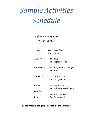# *Sample Activities Schedule*

Highbury Nursing Home

Weekly Activities

Monday Am – Hang Man Pm – Music

Tuesday Am – Bingo Pm – Light Exercise

Wednesday Am – Play your cards right Pm – Music

Thursday Am – Hairdressers Pm – Nail/Hands

Friday Am – Connect 4

Saturday

Am –Film & Refreshments

 Am Board Games Sunday Am Darts Match

#### **All activities in the garden depend on the weather**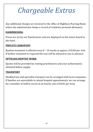# *Chargeable Extras*

Any additional charges are invoiced to the office at Highbury Nursing Home where the administrator keeps a record of residents personal allowance.

#### **HAIRDRESSING**

Prices are set by our Hairdressers and are displayed on the notice board in the foyer.

#### **PRIVATE CHIROPODY**

Routine treatment is offered every 8 – 10 weeks at approx. £10.00 per visit. If further treatment is required the cost will be advised to you in advance.

#### **OPTICIAN/DENTIST WORK**

Quotes will be provided by visiting practitioners and your authorisation obtained before supply.

#### **TRANSPORT**

Disabled taxi and specialist transport can be arranged with local companies. If families are unavailable to attend hospital appointments, we can arrange for a member of staff to escort at an hourly rate of £8.81 per hour.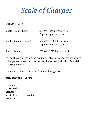# *Scale of Charges*

#### **NURSING CARE**

| Single (Ensuite Room)  | £850.00 - £950.00 per week<br>Depending on the room |
|------------------------|-----------------------------------------------------|
| Single (Standard Room) | £775.00 - £850.00 per week<br>Depending on the room |
| <b>Shared Room</b>     | £700.00 / £775.00 per week                          |

\*\* The above charges are the maximum rates per room. We are always happy to discuss with prospective clients their individual financial circumstances.

\*\* Fees are subject to an annual review during April

#### **ADDITIONAL CHARGES**

Chiropody Hairdressing **Transport** Medical Escorts to Hospital Trips Out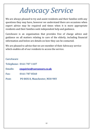## *Advocacy Service*

We are always pleased to try and assist residents and their families with any questions they may have, however we understand there are occasions when expert advice may be required and times when it is more appropriate residents and their families seek independent help and guidance.

CareAware is an organisation that provides free of charge advice and guidance on all matters relating to care of the elderly, including financial information and below are details on how they can be contacted.

We are pleased to advise that we are member of their Advocacy service which enables all of our residents to access the service.

#### **CareAware**

**Telephone: 0161 707 1107**

**Emails: [enquiries@careaware.co.uk](mailto:enquiries@careaware.co.uk)**

**Fax: 0161 787 8560**

**Post: PO BOX 8, Manchester, M30 9NY**